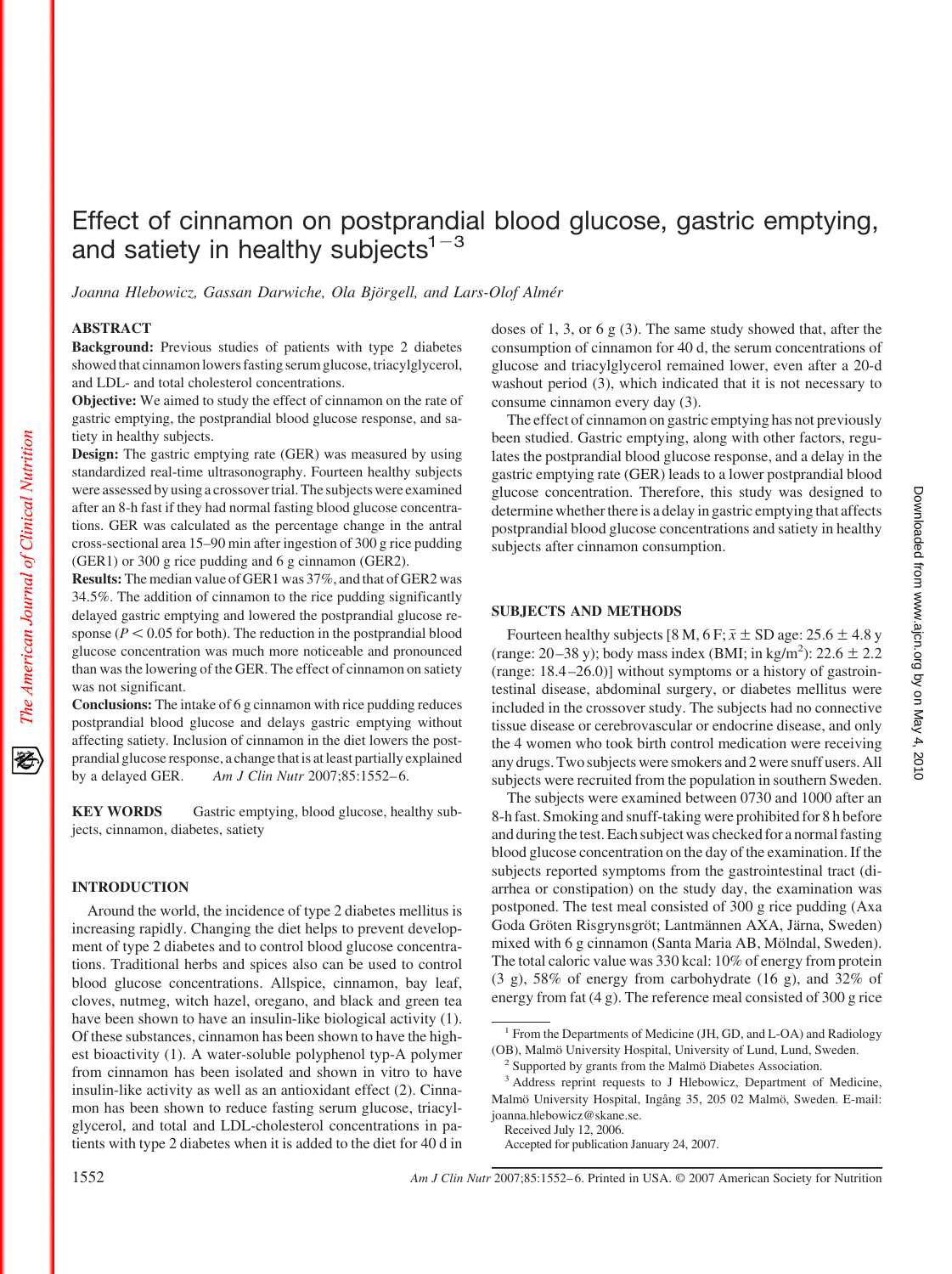# Effect of cinnamon on postprandial blood glucose, gastric emptying, and satiety in healthy subjects $1-3$

*Joanna Hlebowicz, Gassan Darwiche, Ola Björgell, and Lars-Olof Almér*

# **ABSTRACT**

The American Journal of Clinical Nutrition

**Background:** Previous studies of patients with type 2 diabetes showed that cinnamon lowers fasting serum glucose, triacylglycerol, and LDL- and total cholesterol concentrations.

**Objective:** We aimed to study the effect of cinnamon on the rate of gastric emptying, the postprandial blood glucose response, and satiety in healthy subjects.

**Design:** The gastric emptying rate (GER) was measured by using standardized real-time ultrasonography. Fourteen healthy subjects were assessed by using a crossover trial. The subjects were examined after an 8-h fast if they had normal fasting blood glucose concentrations. GER was calculated as the percentage change in the antral cross-sectional area 15–90 min after ingestion of 300 g rice pudding (GER1) or 300 g rice pudding and 6 g cinnamon (GER2).

**Results:**The median value of GER1 was 37%, and that of GER2 was 34.5%. The addition of cinnamon to the rice pudding significantly delayed gastric emptying and lowered the postprandial glucose response ( $P < 0.05$  for both). The reduction in the postprandial blood glucose concentration was much more noticeable and pronounced than was the lowering of the GER. The effect of cinnamon on satiety was not significant.

**Conclusions:** The intake of 6 g cinnamon with rice pudding reduces postprandial blood glucose and delays gastric emptying without affecting satiety. Inclusion of cinnamon in the diet lowers the postprandial glucose response, a change that is at least partially explained by a delayed GER. Am J Clin Nutr 2007;85:1552-6.

**KEY WORDS** Gastric emptying, blood glucose, healthy subjects, cinnamon, diabetes, satiety

#### **INTRODUCTION**

Around the world, the incidence of type 2 diabetes mellitus is increasing rapidly. Changing the diet helps to prevent development of type 2 diabetes and to control blood glucose concentrations. Traditional herbs and spices also can be used to control blood glucose concentrations. Allspice, cinnamon, bay leaf, cloves, nutmeg, witch hazel, oregano, and black and green tea have been shown to have an insulin-like biological activity (1). Of these substances, cinnamon has been shown to have the highest bioactivity (1). A water-soluble polyphenol typ-A polymer from cinnamon has been isolated and shown in vitro to have insulin-like activity as well as an antioxidant effect (2). Cinnamon has been shown to reduce fasting serum glucose, triacylglycerol, and total and LDL-cholesterol concentrations in patients with type 2 diabetes when it is added to the diet for 40 d in doses of 1, 3, or 6 g (3). The same study showed that, after the consumption of cinnamon for 40 d, the serum concentrations of glucose and triacylglycerol remained lower, even after a 20-d washout period (3), which indicated that it is not necessary to consume cinnamon every day (3).

The effect of cinnamon on gastric emptying has not previously been studied. Gastric emptying, along with other factors, regulates the postprandial blood glucose response, and a delay in the gastric emptying rate (GER) leads to a lower postprandial blood glucose concentration. Therefore, this study was designed to determine whether there is a delay in gastric emptying that affects postprandial blood glucose concentrations and satiety in healthy subjects after cinnamon consumption.

#### **SUBJECTS AND METHODS**

Fourteen healthy subjects  $[8 \text{ M}, 6 \text{ F}; \bar{x} \pm \text{SD} \text{ age}: 25.6 \pm 4.8 \text{ y}]$ (range: 20–38 y); body mass index (BMI; in kg/m<sup>2</sup>): 22.6  $\pm$  2.2 (range: 18.4 –26.0)] without symptoms or a history of gastrointestinal disease, abdominal surgery, or diabetes mellitus were included in the crossover study. The subjects had no connective tissue disease or cerebrovascular or endocrine disease, and only the 4 women who took birth control medication were receiving any drugs. Two subjects were smokers and 2 were snuff users. All subjects were recruited from the population in southern Sweden.

The subjects were examined between 0730 and 1000 after an 8-h fast. Smoking and snuff-taking were prohibited for 8 h before and during the test. Each subject was checked for a normal fasting blood glucose concentration on the day of the examination. If the subjects reported symptoms from the gastrointestinal tract (diarrhea or constipation) on the study day, the examination was postponed. The test meal consisted of 300 g rice pudding (Axa Goda Gröten Risgrynsgröt; Lantmännen AXA, Järna, Sweden) mixed with 6 g cinnamon (Santa Maria AB, Mölndal, Sweden). The total caloric value was 330 kcal: 10% of energy from protein (3 g), 58% of energy from carbohydrate (16 g), and 32% of energy from fat (4 g). The reference meal consisted of 300 g rice

<sup>&</sup>lt;sup>1</sup> From the Departments of Medicine (JH, GD, and L-OA) and Radiology (OB), Malmö University Hospital, University of Lund, Lund, Sweden.

<sup>2</sup> Supported by grants from the Malmö Diabetes Association.

<sup>3</sup> Address reprint requests to J Hlebowicz, Department of Medicine, Malmö University Hospital, Ingång 35, 205 02 Malmö, Sweden. E-mail: joanna.hlebowicz@skane.se.

Received July 12, 2006.

Accepted for publication January 24, 2007.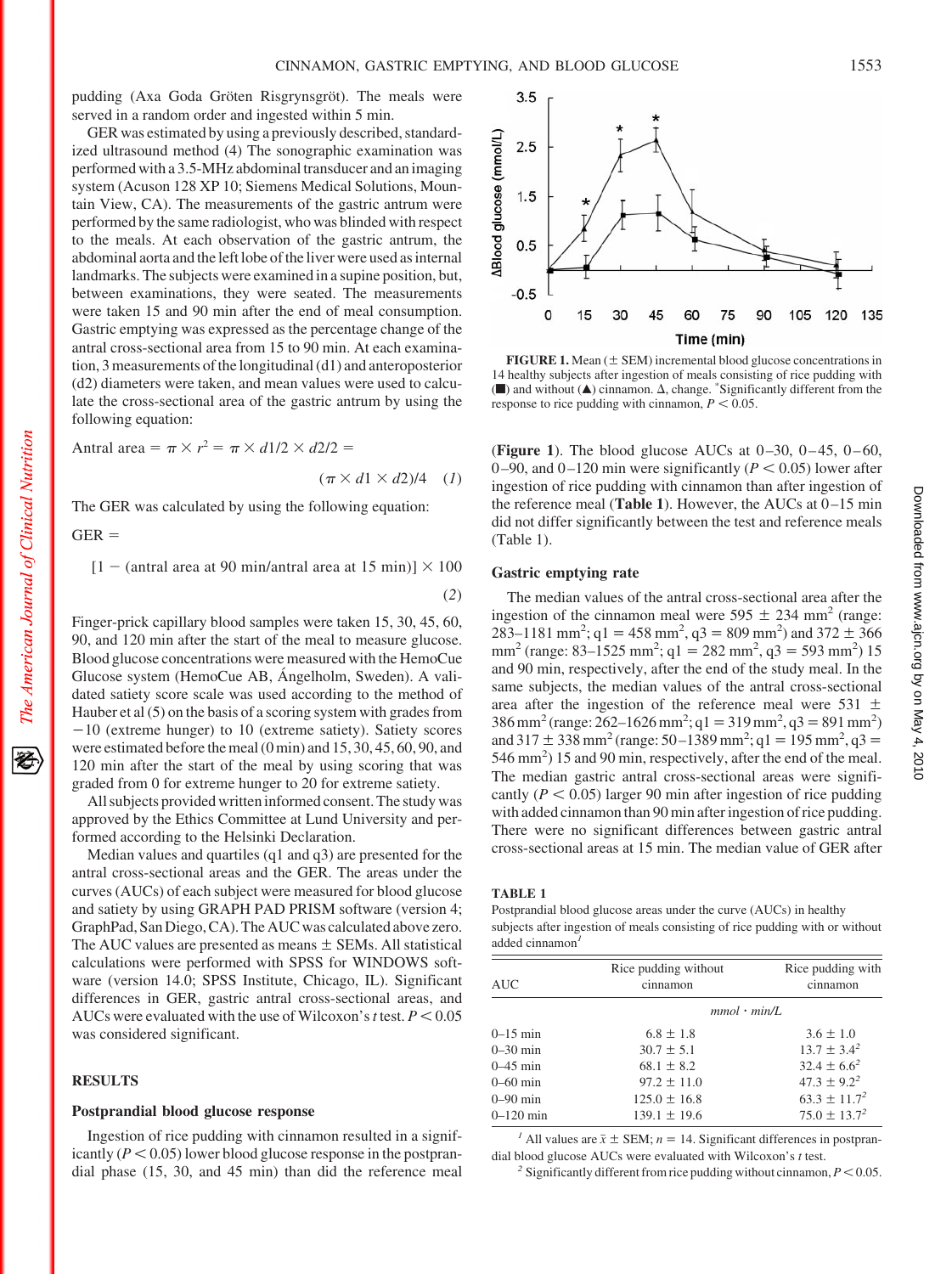pudding (Axa Goda Gröten Risgrynsgröt). The meals were served in a random order and ingested within 5 min.

GER was estimated by using a previously described, standardized ultrasound method (4) The sonographic examination was performed with a 3.5-MHz abdominal transducer and an imaging system (Acuson 128 XP 10; Siemens Medical Solutions, Mountain View, CA). The measurements of the gastric antrum were performed by the same radiologist, who was blinded with respect to the meals. At each observation of the gastric antrum, the abdominal aorta and the left lobe of the liver were used as internal landmarks. The subjects were examined in a supine position, but, between examinations, they were seated. The measurements were taken 15 and 90 min after the end of meal consumption. Gastric emptying was expressed as the percentage change of the antral cross-sectional area from 15 to 90 min. At each examination, 3 measurements of the longitudinal (d1) and anteroposterior (d2) diameters were taken, and mean values were used to calculate the cross-sectional area of the gastric antrum by using the following equation:

Antral area =  $\pi \times r^2 = \pi \times d1/2 \times d2/2 =$ 

 $(\pi \times d1 \times d2)/4$  (*1*)

The GER was calculated by using the following equation:

 $GER =$ 

 $[1 - (antral area at 90 min/antral area at 15 min)] \times 100$ 

(*2*)

Finger-prick capillary blood samples were taken 15, 30, 45, 60, 90, and 120 min after the start of the meal to measure glucose. Blood glucose concentrations were measured with the HemoCue Glucose system (HemoCue AB, Ángelholm, Sweden). A validated satiety score scale was used according to the method of Hauber et al (5) on the basis of a scoring system with grades from  $-10$  (extreme hunger) to 10 (extreme satiety). Satiety scores were estimated before the meal (0 min) and 15, 30, 45, 60, 90, and 120 min after the start of the meal by using scoring that was graded from 0 for extreme hunger to 20 for extreme satiety.

All subjects provided written informed consent. The study was approved by the Ethics Committee at Lund University and performed according to the Helsinki Declaration.

Median values and quartiles (q1 and q3) are presented for the antral cross-sectional areas and the GER. The areas under the curves (AUCs) of each subject were measured for blood glucose and satiety by using GRAPH PAD PRISM software (version 4; GraphPad, San Diego, CA). The AUC was calculated above zero. The AUC values are presented as means  $\pm$  SEMs. All statistical calculations were performed with SPSS for WINDOWS software (version 14.0; SPSS Institute, Chicago, IL). Significant differences in GER, gastric antral cross-sectional areas, and AUCs were evaluated with the use of Wilcoxon's  $t$  test.  $P < 0.05$ was considered significant.

# **RESULTS**

#### **Postprandial blood glucose response**

Ingestion of rice pudding with cinnamon resulted in a significantly  $(P < 0.05)$  lower blood glucose response in the postprandial phase (15, 30, and 45 min) than did the reference meal



**FIGURE 1.** Mean  $(\pm$  SEM) incremental blood glucose concentrations in 14 healthy subjects after ingestion of meals consisting of rice pudding with  $(\blacksquare)$  and without  $(\blacktriangle)$  cinnamon.  $\Delta$ , change. \*Significantly different from the response to rice pudding with cinnamon,  $P < 0.05$ .

(**Figure 1**). The blood glucose AUCs at  $0-30$ ,  $0-45$ ,  $0-60$ , 0-90, and 0-120 min were significantly ( $P < 0.05$ ) lower after ingestion of rice pudding with cinnamon than after ingestion of the reference meal (**Table 1**). However, the AUCs at 0 –15 min did not differ significantly between the test and reference meals (Table 1).

# **Gastric emptying rate**

The median values of the antral cross-sectional area after the ingestion of the cinnamon meal were  $595 \pm 234$  mm<sup>2</sup> (range:  $283 - 1181$  mm<sup>2</sup>;  $q1 = 458$  mm<sup>2</sup>,  $q3 = 809$  mm<sup>2</sup>) and  $372 \pm 366$ mm<sup>2</sup> (range: 83–1525 mm<sup>2</sup>;  $q1 = 282$  mm<sup>2</sup>,  $q3 = 593$  mm<sup>2</sup>) 15 and 90 min, respectively, after the end of the study meal. In the same subjects, the median values of the antral cross-sectional area after the ingestion of the reference meal were  $531 \pm$  $386 \text{ mm}^2 \cdot (\text{range}: 262 - 1626 \text{ mm}^2; q1 = 319 \text{ mm}^2, q3 = 891 \text{ mm}^2)$ and 317  $\pm$  338 mm<sup>2</sup> (range: 50–1389 mm<sup>2</sup>; q1 = 195 mm<sup>2</sup>, q3 = 546 mm<sup>2</sup> ) 15 and 90 min, respectively, after the end of the meal. The median gastric antral cross-sectional areas were significantly ( $P < 0.05$ ) larger 90 min after ingestion of rice pudding with added cinnamon than 90 min after ingestion of rice pudding. There were no significant differences between gastric antral cross-sectional areas at 15 min. The median value of GER after

#### **TABLE 1**

Postprandial blood glucose areas under the curve (AUCs) in healthy subjects after ingestion of meals consisting of rice pudding with or without added cinnamon*<sup>1</sup>*

| <b>AUC</b>    | Rice pudding without<br>cinnamon | Rice pudding with<br>cinnamon |
|---------------|----------------------------------|-------------------------------|
|               | $mmol \cdot min/L$               |                               |
| $0 - 15$ min  | $6.8 \pm 1.8$                    | $3.6 \pm 1.0$                 |
| $0-30$ min    | $30.7 \pm 5.1$                   | $13.7 \pm 3.4^2$              |
| $0-45$ min    | $68.1 \pm 8.2$                   | $32.4 \pm 6.6^2$              |
| $0 - 60$ min  | $97.2 \pm 11.0$                  | $47.3 \pm 9.2^2$              |
| $0-90$ min    | $125.0 \pm 16.8$                 | $63.3 \pm 11.7^2$             |
| $0 - 120$ min | $139.1 \pm 19.6$                 | $75.0 \pm 13.7^2$             |
|               |                                  |                               |

<sup>*1*</sup> All values are  $\bar{x} \pm$  SEM; *n* = 14. Significant differences in postprandial blood glucose AUCs were evaluated with Wilcoxon's *t* test.

<sup>2</sup> Significantly different from rice pudding without cinnamon,  $P < 0.05$ .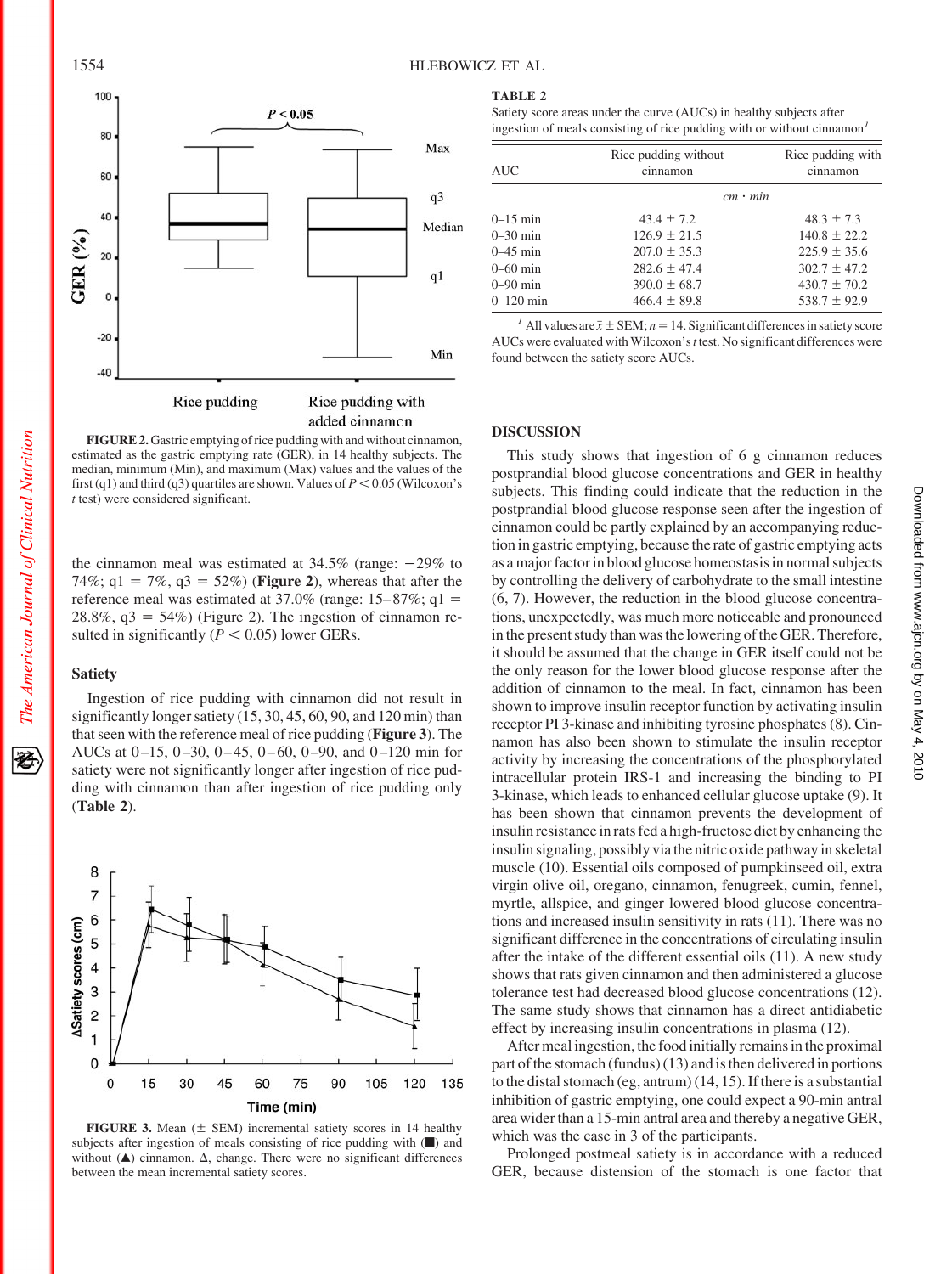

**FIGURE 2.** Gastric emptying of rice pudding with and without cinnamon, estimated as the gastric emptying rate (GER), in 14 healthy subjects. The median, minimum (Min), and maximum (Max) values and the values of the first (q1) and third (q3) quartiles are shown. Values of  $P < 0.05$  (Wilcoxon's *t* test) were considered significant.

the cinnamon meal was estimated at  $34.5\%$  (range:  $-29\%$  to 74%;  $q1 = 7\%$ ,  $q3 = 52\%$ ) (**Figure 2**), whereas that after the reference meal was estimated at  $37.0\%$  (range:  $15-87\%$ ; q1 = 28.8%,  $q3 = 54\%$ ) (Figure 2). The ingestion of cinnamon resulted in significantly  $(P < 0.05)$  lower GERs.

#### **Satiety**

Ingestion of rice pudding with cinnamon did not result in significantly longer satiety (15, 30, 45, 60, 90, and 120 min) than that seen with the reference meal of rice pudding (**Figure 3**). The AUCs at  $0-15$ ,  $0-30$ ,  $0-45$ ,  $0-60$ ,  $0-90$ , and  $0-120$  min for satiety were not significantly longer after ingestion of rice pudding with cinnamon than after ingestion of rice pudding only (**Table 2**).



**FIGURE 3.** Mean  $(\pm$  SEM) incremental satiety scores in 14 healthy subjects after ingestion of meals consisting of rice pudding with  $(\blacksquare)$  and without  $(A)$  cinnamon.  $\Delta$ , change. There were no significant differences between the mean incremental satiety scores.

#### **TABLE 2**

Satiety score areas under the curve (AUCs) in healthy subjects after ingestion of meals consisting of rice pudding with or without cinnamon*<sup>1</sup>*

| <b>AUC</b>    | Rice pudding without<br>cinnamon | Rice pudding with<br>cinnamon |
|---------------|----------------------------------|-------------------------------|
|               | $cm \cdot min$                   |                               |
| $0-15$ min    | $43.4 \pm 7.2$                   | $48.3 \pm 7.3$                |
| $0-30$ min    | $126.9 \pm 21.5$                 | $140.8 \pm 22.2$              |
| $0-45$ min    | $207.0 \pm 35.3$                 | $225.9 \pm 35.6$              |
| $0-60$ min    | $282.6 \pm 47.4$                 | $302.7 \pm 47.2$              |
| $0-90$ min    | $390.0 \pm 68.7$                 | $430.7 \pm 70.2$              |
| $0 - 120$ min | $466.4 \pm 89.8$                 | $538.7 \pm 92.9$              |

<sup>1</sup> All values are  $\bar{x} \pm$  SEM;  $n = 14$ . Significant differences in satiety score AUCs were evaluated with Wilcoxon's *t* test. No significant differences were found between the satiety score AUCs.

### **DISCUSSION**

This study shows that ingestion of 6 g cinnamon reduces postprandial blood glucose concentrations and GER in healthy subjects. This finding could indicate that the reduction in the postprandial blood glucose response seen after the ingestion of cinnamon could be partly explained by an accompanying reduction in gastric emptying, because the rate of gastric emptying acts as a major factor in blood glucose homeostasis in normal subjects by controlling the delivery of carbohydrate to the small intestine (6, 7). However, the reduction in the blood glucose concentrations, unexpectedly, was much more noticeable and pronounced in the present study than was the lowering of the GER. Therefore, it should be assumed that the change in GER itself could not be the only reason for the lower blood glucose response after the addition of cinnamon to the meal. In fact, cinnamon has been shown to improve insulin receptor function by activating insulin receptor PI 3-kinase and inhibiting tyrosine phosphates (8). Cinnamon has also been shown to stimulate the insulin receptor activity by increasing the concentrations of the phosphorylated intracellular protein IRS-1 and increasing the binding to PI 3-kinase, which leads to enhanced cellular glucose uptake (9). It has been shown that cinnamon prevents the development of insulin resistance in rats fed a high-fructose diet by enhancing the insulin signaling, possibly via the nitric oxide pathway in skeletal muscle (10). Essential oils composed of pumpkinseed oil, extra virgin olive oil, oregano, cinnamon, fenugreek, cumin, fennel, myrtle, allspice, and ginger lowered blood glucose concentrations and increased insulin sensitivity in rats (11). There was no significant difference in the concentrations of circulating insulin after the intake of the different essential oils (11). A new study shows that rats given cinnamon and then administered a glucose tolerance test had decreased blood glucose concentrations (12). The same study shows that cinnamon has a direct antidiabetic effect by increasing insulin concentrations in plasma (12).

After meal ingestion, the food initially remains in the proximal part of the stomach (fundus) (13) and is then delivered in portions to the distal stomach (eg, antrum) (14, 15). If there is a substantial inhibition of gastric emptying, one could expect a 90-min antral area wider than a 15-min antral area and thereby a negative GER, which was the case in 3 of the participants.

Prolonged postmeal satiety is in accordance with a reduced GER, because distension of the stomach is one factor that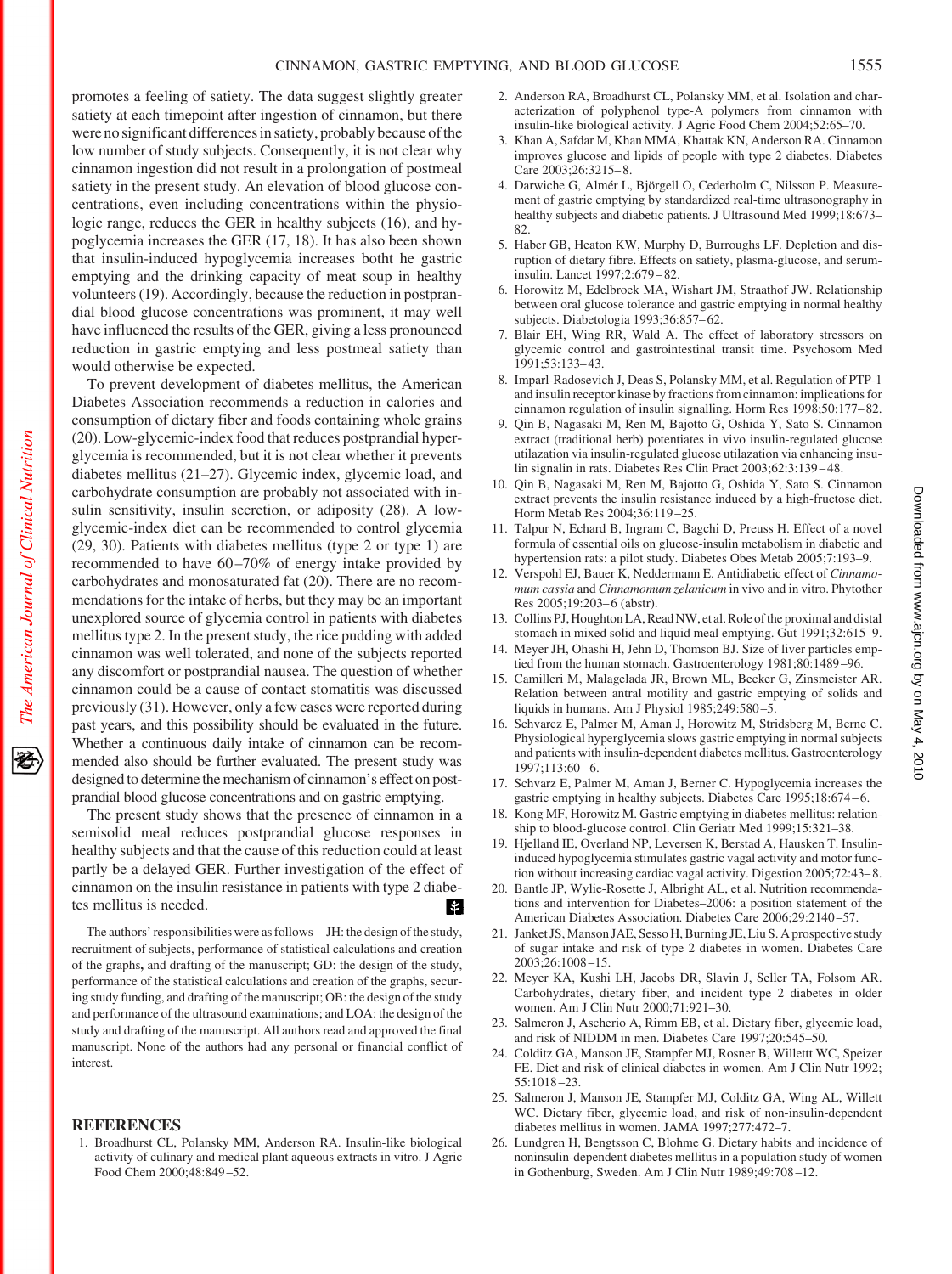promotes a feeling of satiety. The data suggest slightly greater satiety at each timepoint after ingestion of cinnamon, but there were no significant differences in satiety, probably because of the low number of study subjects. Consequently, it is not clear why cinnamon ingestion did not result in a prolongation of postmeal satiety in the present study. An elevation of blood glucose concentrations, even including concentrations within the physiologic range, reduces the GER in healthy subjects (16), and hypoglycemia increases the GER (17, 18). It has also been shown that insulin-induced hypoglycemia increases botht he gastric emptying and the drinking capacity of meat soup in healthy volunteers (19). Accordingly, because the reduction in postprandial blood glucose concentrations was prominent, it may well have influenced the results of the GER, giving a less pronounced reduction in gastric emptying and less postmeal satiety than would otherwise be expected.

To prevent development of diabetes mellitus, the American Diabetes Association recommends a reduction in calories and consumption of dietary fiber and foods containing whole grains (20). Low-glycemic-index food that reduces postprandial hyperglycemia is recommended, but it is not clear whether it prevents diabetes mellitus (21–27). Glycemic index, glycemic load, and carbohydrate consumption are probably not associated with insulin sensitivity, insulin secretion, or adiposity (28). A lowglycemic-index diet can be recommended to control glycemia (29, 30). Patients with diabetes mellitus (type 2 or type 1) are recommended to have  $60-70\%$  of energy intake provided by carbohydrates and monosaturated fat (20). There are no recommendations for the intake of herbs, but they may be an important unexplored source of glycemia control in patients with diabetes mellitus type 2. In the present study, the rice pudding with added cinnamon was well tolerated, and none of the subjects reported any discomfort or postprandial nausea. The question of whether cinnamon could be a cause of contact stomatitis was discussed previously (31). However, only a few cases were reported during past years, and this possibility should be evaluated in the future. Whether a continuous daily intake of cinnamon can be recommended also should be further evaluated. The present study was designed to determine the mechanism of cinnamon's effect on postprandial blood glucose concentrations and on gastric emptying.

The present study shows that the presence of cinnamon in a semisolid meal reduces postprandial glucose responses in healthy subjects and that the cause of this reduction could at least partly be a delayed GER. Further investigation of the effect of cinnamon on the insulin resistance in patients with type 2 diabetes mellitus is needed. Е

The authors' responsibilities were as follows—JH: the design of the study, recruitment of subjects, performance of statistical calculations and creation of the graphs**,** and drafting of the manuscript; GD: the design of the study, performance of the statistical calculations and creation of the graphs, securing study funding, and drafting of the manuscript; OB: the design of the study and performance of the ultrasound examinations; and LOA: the design of the study and drafting of the manuscript. All authors read and approved the final manuscript. None of the authors had any personal or financial conflict of interest.

### **REFERENCES**

1. Broadhurst CL, Polansky MM, Anderson RA. Insulin-like biological activity of culinary and medical plant aqueous extracts in vitro. J Agric Food Chem 2000;48:849 –52.

- 2. Anderson RA, Broadhurst CL, Polansky MM, et al. Isolation and characterization of polyphenol type-A polymers from cinnamon with insulin-like biological activity. J Agric Food Chem 2004;52:65–70.
- 3. Khan A, Safdar M, Khan MMA, Khattak KN, Anderson RA. Cinnamon improves glucose and lipids of people with type 2 diabetes. Diabetes Care 2003;26:3215– 8.
- 4. Darwiche G, Almér L, Björgell O, Cederholm C, Nilsson P. Measurement of gastric emptying by standardized real-time ultrasonography in healthy subjects and diabetic patients. J Ultrasound Med 1999;18:673– 82.
- 5. Haber GB, Heaton KW, Murphy D, Burroughs LF. Depletion and disruption of dietary fibre. Effects on satiety, plasma-glucose, and seruminsulin. Lancet 1997;2:679 – 82.
- 6. Horowitz M, Edelbroek MA, Wishart JM, Straathof JW. Relationship between oral glucose tolerance and gastric emptying in normal healthy subjects. Diabetologia 1993;36:857-62.
- 7. Blair EH, Wing RR, Wald A. The effect of laboratory stressors on glycemic control and gastrointestinal transit time. Psychosom Med 1991;53:133– 43.
- 8. Imparl-Radosevich J, Deas S, Polansky MM, et al. Regulation of PTP-1 and insulin receptor kinase by fractions from cinnamon: implications for cinnamon regulation of insulin signalling. Horm Res 1998;50:177– 82.
- 9. Qin B, Nagasaki M, Ren M, Bajotto G, Oshida Y, Sato S. Cinnamon extract (traditional herb) potentiates in vivo insulin-regulated glucose utilazation via insulin-regulated glucose utilazation via enhancing insulin signalin in rats. Diabetes Res Clin Pract 2003;62:3:139 – 48.
- 10. Qin B, Nagasaki M, Ren M, Bajotto G, Oshida Y, Sato S. Cinnamon extract prevents the insulin resistance induced by a high-fructose diet. Horm Metab Res 2004;36:119 –25.
- 11. Talpur N, Echard B, Ingram C, Bagchi D, Preuss H. Effect of a novel formula of essential oils on glucose-insulin metabolism in diabetic and hypertension rats: a pilot study. Diabetes Obes Metab 2005;7:193–9.
- 12. Verspohl EJ, Bauer K, Neddermann E. Antidiabetic effect of *Cinnamomum cassia* and *Cinnamomum zelanicum* in vivo and in vitro. Phytother Res 2005;19:203-6 (abstr).
- 13. Collins PJ, Houghton LA, Read NW, et al. Role of the proximal and distal stomach in mixed solid and liquid meal emptying. Gut 1991;32:615–9.
- 14. Meyer JH, Ohashi H, Jehn D, Thomson BJ. Size of liver particles emptied from the human stomach. Gastroenterology 1981;80:1489 –96.
- 15. Camilleri M, Malagelada JR, Brown ML, Becker G, Zinsmeister AR. Relation between antral motility and gastric emptying of solids and liquids in humans. Am J Physiol 1985;249:580 –5.
- 16. Schvarcz E, Palmer M, Aman J, Horowitz M, Stridsberg M, Berne C. Physiological hyperglycemia slows gastric emptying in normal subjects and patients with insulin-dependent diabetes mellitus. Gastroenterology 1997;113:60 – 6.
- 17. Schvarz E, Palmer M, Aman J, Berner C. Hypoglycemia increases the gastric emptying in healthy subjects. Diabetes Care 1995;18:674 – 6.
- 18. Kong MF, Horowitz M. Gastric emptying in diabetes mellitus: relationship to blood-glucose control. Clin Geriatr Med 1999;15:321–38.
- 19. Hjelland IE, Overland NP, Leversen K, Berstad A, Hausken T. Insulininduced hypoglycemia stimulates gastric vagal activity and motor function without increasing cardiac vagal activity. Digestion 2005;72:43– 8.
- 20. Bantle JP, Wylie-Rosette J, Albright AL, et al. Nutrition recommendations and intervention for Diabetes–2006: a position statement of the American Diabetes Association. Diabetes Care 2006;29:2140 –57.
- 21. Janket JS, Manson JAE, Sesso H, Burning JE, Liu S. A prospective study of sugar intake and risk of type 2 diabetes in women. Diabetes Care 2003;26:1008 –15.
- 22. Meyer KA, Kushi LH, Jacobs DR, Slavin J, Seller TA, Folsom AR. Carbohydrates, dietary fiber, and incident type 2 diabetes in older women. Am J Clin Nutr 2000;71:921–30.
- 23. Salmeron J, Ascherio A, Rimm EB, et al. Dietary fiber, glycemic load, and risk of NIDDM in men. Diabetes Care 1997;20:545–50.
- 24. Colditz GA, Manson JE, Stampfer MJ, Rosner B, Willettt WC, Speizer FE. Diet and risk of clinical diabetes in women. Am J Clin Nutr 1992; 55:1018 –23.
- 25. Salmeron J, Manson JE, Stampfer MJ, Colditz GA, Wing AL, Willett WC. Dietary fiber, glycemic load, and risk of non-insulin-dependent diabetes mellitus in women. JAMA 1997;277:472–7.
- 26. Lundgren H, Bengtsson C, Blohme G. Dietary habits and incidence of noninsulin-dependent diabetes mellitus in a population study of women in Gothenburg, Sweden. Am J Clin Nutr 1989;49:708 –12.